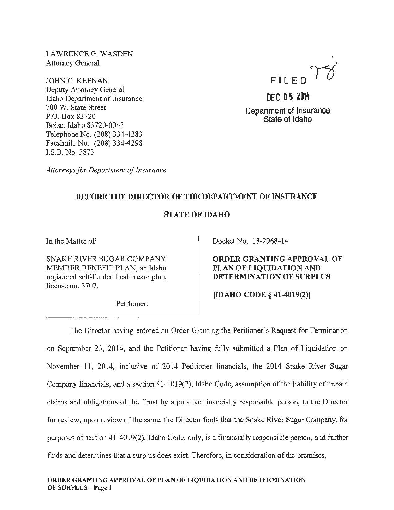LAWRENCEG. WASDEN Attorney General

JOHN C. KEENAN Deputy Attorney General Idaho Department of Insurance 700 W. State Street P.O. Box 83720 Boise, Idaho 83 720-0043 Telephone No. (208) 334-4283 Facsimile No. (208) 334-4298 LS.B. No. 3873

FILED 98

DEC 05 2014 Department of Insurance State of Idaho

*Attorneys for Department of Insurance* 

## BEFORE THE DIRECTOR OF THE DEPARTMENT OF INSURANCE

## STATE OF IDAHO

In the Matter of:

SNAKE RIVER SUGAR COMPANY MEMBER BENEFIT PLAN, an Idaho registered self-funded health care plan, license no. 3707,

Petitioner.

Docket No. 18-2968-14

ORDER GRANTING APPROVAL OF PLAN OF LIQUIDATION AND DETERMINATION OF SURPLUS

[IDAHO CODE§ 41-4019(2)]

The Director having entered an Order Granting the Petitioner's Request for Termination on September 23, 2014, and the Petitioner having fully submitted a Plan of Liquidation on November 11, 2014, inclusive of 2014 Petitioner financials, the 2014 Snake River Sugar Company financials, and a section 41-4019(2), Idaho Code, assumption of the liability of unpaid claims and obligations of the Trust by a putative financially responsible person, to the Director for review; upon review of the same, the Director finds that the Snake River Sugar Company, for purposes of section 41-4019(2), Idaho Code, only, is a financially responsible person, and further finds and determines that a surplus does exist. Therefore, in consideration of the premises,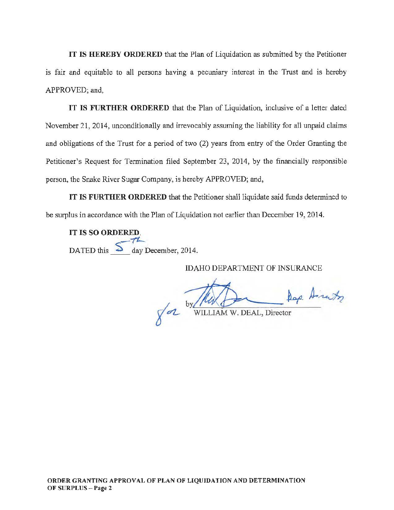IT IS HEREBY ORDERED that the Plan of Liquidation as submitted by the Petitioner is fair and equitable to all persons having a pecuniary interest in the Trust and is hereby APPROVED; and,

IT IS FURTHER ORDERED that the Plan of Liquidation, inclusive of a letter dated November 21, 2014, unconditionally and irrevocably assuming the liability for all unpaid claims and obligations of the Trust for a period of two (2) years from entry of the Order Granting the Petitioner's Request for Termination filed September 23, 2014, by the financially responsible person, the Snake River Sugar Company, is hereby APPROVED; and,

IT IS FURTHER ORDERED that the Petitioner shall liquidate said funds determined to be surplus in accordance with the Plan of Liquidation not earlier than December 19, 2014.

IT IS SO ORDERED DATED this  $\frac{5}{\sqrt{t}}$  day December, 2014.

IDAHO DEPARTMENT OF INSURANCE

EDAHO DEPARTMENT OF INSURANCE<br>MANUSCRIPT RESERVED OF THE RACE Dap Anaty